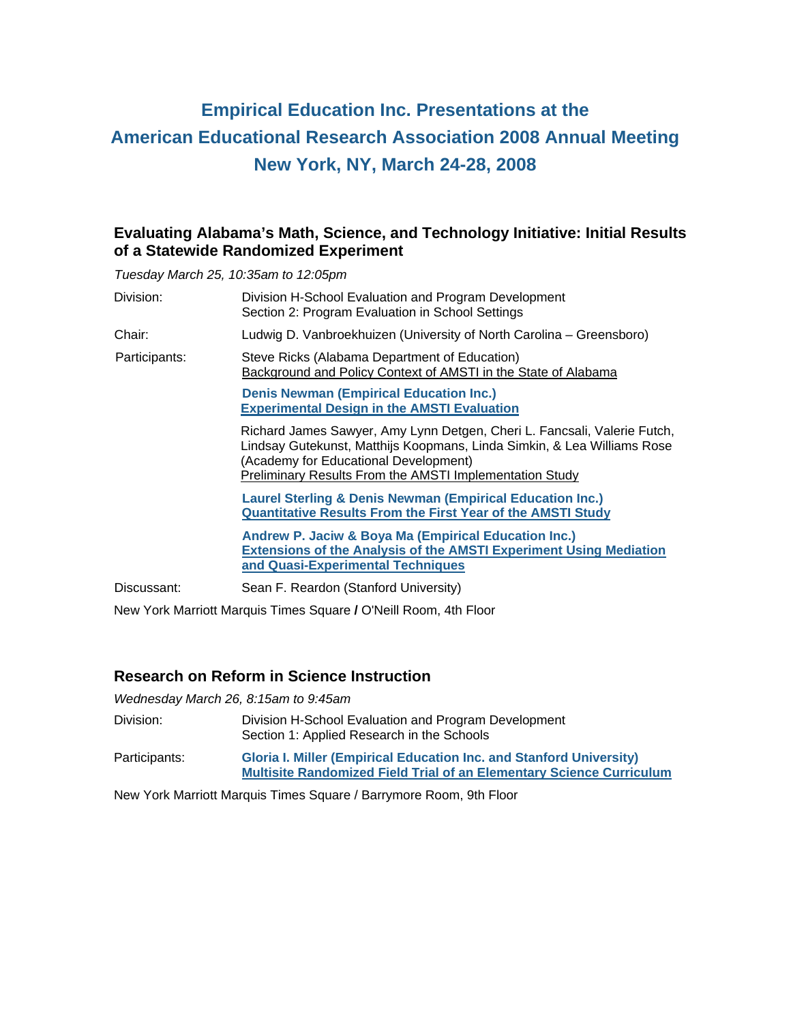# **Empirical Education Inc. Presentations at the American Educational Research Association 2008 Annual Meeting New York, NY, March 24-28, 2008**

### **Evaluating Alabama's Math, Science, and Technology Initiative: Initial Results of a Statewide Randomized Experiment**

*Tuesday March 25, 10:35am to 12:05pm* 

| Chair:<br>Ludwig D. Vanbroekhuizen (University of North Carolina – Greensboro)<br>Steve Ricks (Alabama Department of Education)<br>Participants:<br>Background and Policy Context of AMSTI in the State of Alabama<br><b>Denis Newman (Empirical Education Inc.)</b><br><b>Experimental Design in the AMSTI Evaluation</b><br>(Academy for Educational Development)<br>Preliminary Results From the AMSTI Implementation Study<br><b>Laurel Sterling &amp; Denis Newman (Empirical Education Inc.)</b><br><b>Quantitative Results From the First Year of the AMSTI Study</b><br><b>Andrew P. Jaciw &amp; Boya Ma (Empirical Education Inc.)</b><br><b>Extensions of the Analysis of the AMSTI Experiment Using Mediation</b><br>and Quasi-Experimental Techniques<br>Sean F. Reardon (Stanford University)<br>Discussant: | Division: | Division H-School Evaluation and Program Development<br>Section 2: Program Evaluation in School Settings                                            |
|---------------------------------------------------------------------------------------------------------------------------------------------------------------------------------------------------------------------------------------------------------------------------------------------------------------------------------------------------------------------------------------------------------------------------------------------------------------------------------------------------------------------------------------------------------------------------------------------------------------------------------------------------------------------------------------------------------------------------------------------------------------------------------------------------------------------------|-----------|-----------------------------------------------------------------------------------------------------------------------------------------------------|
|                                                                                                                                                                                                                                                                                                                                                                                                                                                                                                                                                                                                                                                                                                                                                                                                                           |           |                                                                                                                                                     |
|                                                                                                                                                                                                                                                                                                                                                                                                                                                                                                                                                                                                                                                                                                                                                                                                                           |           |                                                                                                                                                     |
|                                                                                                                                                                                                                                                                                                                                                                                                                                                                                                                                                                                                                                                                                                                                                                                                                           |           |                                                                                                                                                     |
|                                                                                                                                                                                                                                                                                                                                                                                                                                                                                                                                                                                                                                                                                                                                                                                                                           |           | Richard James Sawyer, Amy Lynn Detgen, Cheri L. Fancsali, Valerie Futch,<br>Lindsay Gutekunst, Matthijs Koopmans, Linda Simkin, & Lea Williams Rose |
|                                                                                                                                                                                                                                                                                                                                                                                                                                                                                                                                                                                                                                                                                                                                                                                                                           |           |                                                                                                                                                     |
|                                                                                                                                                                                                                                                                                                                                                                                                                                                                                                                                                                                                                                                                                                                                                                                                                           |           |                                                                                                                                                     |
|                                                                                                                                                                                                                                                                                                                                                                                                                                                                                                                                                                                                                                                                                                                                                                                                                           |           |                                                                                                                                                     |

New York Marriott Marquis Times Square **/** O'Neill Room, 4th Floor

## **Research on Reform in Science Instruction**

*Wednesday March 26, 8:15am to 9:45am* 

| Division:     | Division H-School Evaluation and Program Development<br>Section 1: Applied Research in the Schools                                                        |
|---------------|-----------------------------------------------------------------------------------------------------------------------------------------------------------|
| Participants: | <b>Gloria I. Miller (Empirical Education Inc. and Stanford University)</b><br><b>Multisite Randomized Field Trial of an Elementary Science Curriculum</b> |

New York Marriott Marquis Times Square / Barrymore Room, 9th Floor